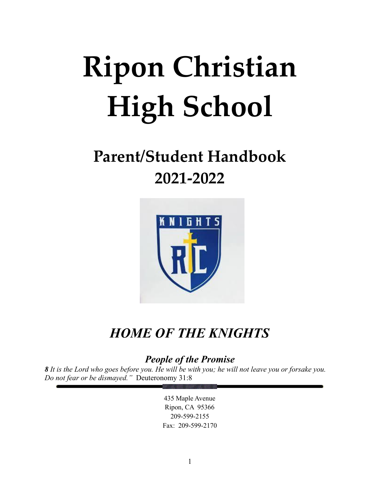# **Ripon Christian High School**

## **Parent/Student Handbook 2021-2022**



## *HOME OF THE KNIGHTS*

*People of the Promise*

*8 It is the Lord who goes before you. He will be with you; he will not leave you or forsake you. Do not fear or be dismayed."* Deuteronomy 31:8

> 435 Maple Avenue Ripon, CA 95366 209-599-2155 Fax: 209-599-2170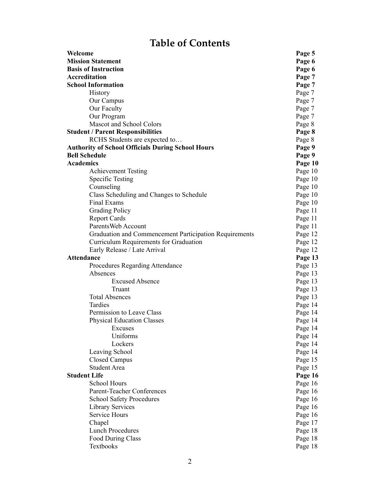## **Table of Contents**

| Welcome                                                  | Page 5  |
|----------------------------------------------------------|---------|
| <b>Mission Statement</b>                                 | Page 6  |
| <b>Basis of Instruction</b>                              | Page 6  |
| <b>Accreditation</b>                                     | Page 7  |
| <b>School Information</b>                                | Page 7  |
| History                                                  | Page 7  |
| Our Campus                                               | Page 7  |
| Our Faculty                                              | Page 7  |
| Our Program                                              | Page 7  |
| Mascot and School Colors                                 | Page 8  |
| <b>Student / Parent Responsibilities</b>                 | Page 8  |
| RCHS Students are expected to                            | Page 8  |
| <b>Authority of School Officials During School Hours</b> | Page 9  |
| <b>Bell Schedule</b>                                     | Page 9  |
| <b>Academics</b>                                         | Page 10 |
| <b>Achievement Testing</b>                               | Page 10 |
| <b>Specific Testing</b>                                  | Page 10 |
| Counseling                                               | Page 10 |
| Class Scheduling and Changes to Schedule                 | Page 10 |
| Final Exams                                              | Page 10 |
| <b>Grading Policy</b>                                    | Page 11 |
| <b>Report Cards</b>                                      | Page 11 |
| ParentsWeb Account                                       | Page 11 |
| Graduation and Commencement Participation Requirements   | Page 12 |
| Curriculum Requirements for Graduation                   | Page 12 |
| Early Release / Late Arrival                             | Page 12 |
| <b>Attendance</b>                                        | Page 13 |
| <b>Procedures Regarding Attendance</b>                   | Page 13 |
| Absences                                                 | Page 13 |
| <b>Excused Absence</b>                                   | Page 13 |
| Truant                                                   | Page 13 |
| <b>Total Absences</b>                                    | Page 13 |
| Tardies                                                  | Page 14 |
| Permission to Leave Class                                | Page 14 |
| <b>Physical Education Classes</b>                        | Page 14 |
| Excuses                                                  | Page 14 |
| Uniforms                                                 | Page 14 |
| Lockers                                                  | Page 14 |
| Leaving School                                           | Page 14 |
| Closed Campus                                            | Page 15 |
| <b>Student Area</b>                                      | Page 15 |
| <b>Student Life</b>                                      | Page 16 |
| <b>School Hours</b>                                      | Page 16 |
| <b>Parent-Teacher Conferences</b>                        | Page 16 |
| <b>School Safety Procedures</b>                          | Page 16 |
| <b>Library Services</b>                                  | Page 16 |
| Service Hours                                            | Page 16 |
| Chapel                                                   | Page 17 |
| <b>Lunch Procedures</b>                                  | Page 18 |
| Food During Class                                        | Page 18 |
| Textbooks                                                | Page 18 |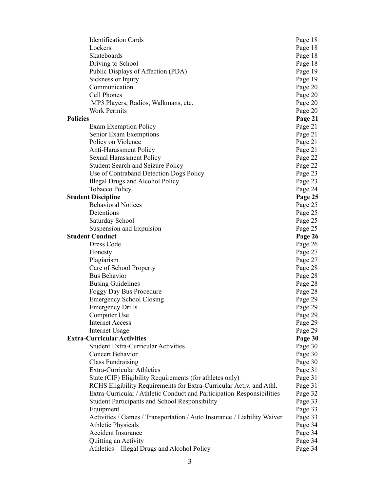| <b>Identification Cards</b>                                             | Page 18 |
|-------------------------------------------------------------------------|---------|
| Lockers                                                                 | Page 18 |
| Skateboards                                                             | Page 18 |
| Driving to School                                                       | Page 18 |
| Public Displays of Affection (PDA)                                      | Page 19 |
| Sickness or Injury                                                      | Page 19 |
| Communication                                                           | Page 20 |
| Cell Phones                                                             | Page 20 |
| MP3 Players, Radios, Walkmans, etc.                                     | Page 20 |
| <b>Work Permits</b>                                                     | Page 20 |
| <b>Policies</b>                                                         | Page 21 |
| <b>Exam Exemption Policy</b>                                            | Page 21 |
| Senior Exam Exemptions                                                  | Page 21 |
| Policy on Violence                                                      | Page 21 |
| <b>Anti-Harassment Policy</b>                                           | Page 21 |
| <b>Sexual Harassment Policy</b>                                         | Page 22 |
| Student Search and Seizure Policy                                       | Page 22 |
| Use of Contraband Detection Dogs Policy                                 | Page 23 |
| Illegal Drugs and Alcohol Policy                                        | Page 23 |
| <b>Tobacco Policy</b>                                                   | Page 24 |
| <b>Student Discipline</b>                                               | Page 25 |
| <b>Behavioral Notices</b>                                               | Page 25 |
| Detentions                                                              | Page 25 |
| Saturday School                                                         | Page 25 |
| Suspension and Expulsion                                                | Page 25 |
| <b>Student Conduct</b>                                                  | Page 26 |
| Dress Code                                                              | Page 26 |
| Honesty                                                                 | Page 27 |
| Plagiarism                                                              | Page 27 |
| Care of School Property                                                 | Page 28 |
| <b>Bus Behavior</b>                                                     | Page 28 |
| <b>Busing Guidelines</b>                                                | Page 28 |
| Foggy Day Bus Procedure                                                 | Page 28 |
| <b>Emergency School Closing</b>                                         |         |
| <b>Emergency Drills</b>                                                 | Page 29 |
|                                                                         | Page 29 |
| Computer Use                                                            | Page 29 |
| <b>Internet Access</b>                                                  | Page 29 |
| Internet Usage                                                          | Page 29 |
| <b>Extra-Curricular Activities</b>                                      | Page 30 |
| <b>Student Extra-Curricular Activities</b>                              | Page 30 |
| <b>Concert Behavior</b>                                                 | Page 30 |
| <b>Class Fundraising</b>                                                | Page 30 |
| <b>Extra-Curricular Athletics</b>                                       | Page 31 |
| State (CIF) Eligibility Requirements (for athletes only)                | Page 31 |
| RCHS Eligibility Requirements for Extra-Curricular Activ. and Athl.     | Page 31 |
| Extra-Curricular / Athletic Conduct and Participation Responsibilities  | Page 32 |
| <b>Student Participants and School Responsibility</b>                   | Page 33 |
| Equipment                                                               | Page 33 |
| Activities / Games / Transportation / Auto Insurance / Liability Waiver | Page 33 |
| <b>Athletic Physicals</b>                                               | Page 34 |
| <b>Accident Insurance</b>                                               | Page 34 |
| Quitting an Activity                                                    | Page 34 |
| Athletics – Illegal Drugs and Alcohol Policy                            | Page 34 |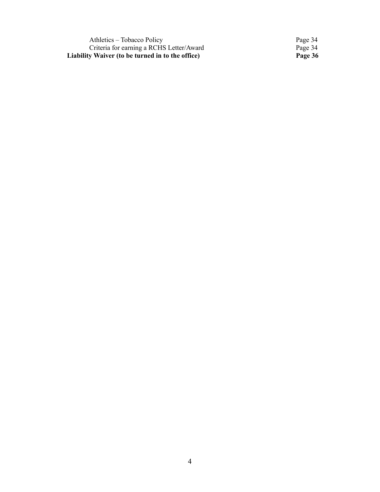Athletics – Tobacco Policy Page 34 Criteria for earning a RCHS Letter/Award Page 34 **Liability Waiver (to be turned in to the office) Page 36**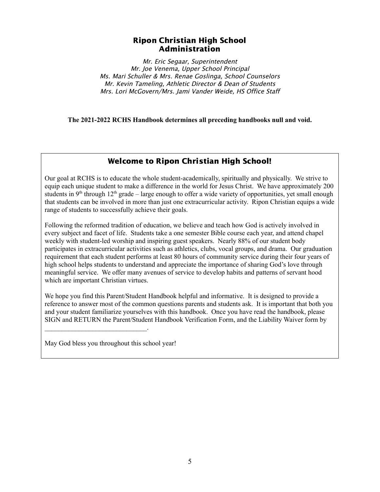#### Ripon Christian High School Administration

Mr. Eric Segaar, Superintendent Mr. Joe Venema, Upper School Principal Ms. Mari Schuller & Mrs. Renae Goslinga, School Counselors Mr. Kevin Tameling, Athletic Director & Dean of Students Mrs. Lori McGovern/Mrs. Jami Vander Weide, HS Office Staff

**The 2021-2022 RCHS Handbook determines all preceding handbooks null and void.**

#### Welcome to Ripon Christian High School!

Our goal at RCHS is to educate the whole student-academically, spiritually and physically. We strive to equip each unique student to make a difference in the world for Jesus Christ. We have approximately 200 students in  $9<sup>th</sup>$  through 12<sup>th</sup> grade – large enough to offer a wide variety of opportunities, yet small enough that students can be involved in more than just one extracurricular activity. Ripon Christian equips a wide range of students to successfully achieve their goals.

Following the reformed tradition of education, we believe and teach how God is actively involved in every subject and facet of life. Students take a one semester Bible course each year, and attend chapel weekly with student-led worship and inspiring guest speakers. Nearly 88% of our student body participates in extracurricular activities such as athletics, clubs, vocal groups, and drama. Our graduation requirement that each student performs at least 80 hours of community service during their four years of high school helps students to understand and appreciate the importance of sharing God's love through meaningful service. We offer many avenues of service to develop habits and patterns of servant hood which are important Christian virtues.

We hope you find this Parent/Student Handbook helpful and informative. It is designed to provide a reference to answer most of the common questions parents and students ask. It is important that both you and your student familiarize yourselves with this handbook. Once you have read the handbook, please SIGN and RETURN the Parent/Student Handbook Verification Form, and the Liability Waiver form by

May God bless you throughout this school year!

 $\mathcal{L}_\text{max}$  and  $\mathcal{L}_\text{max}$  and  $\mathcal{L}_\text{max}$  and  $\mathcal{L}_\text{max}$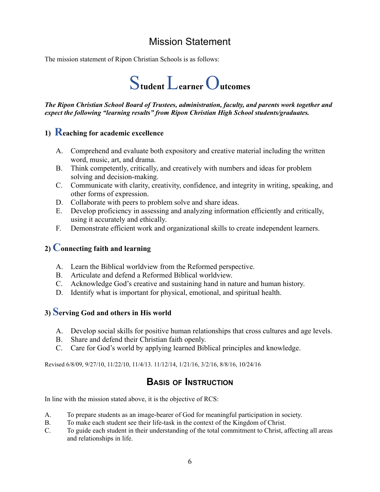## Mission Statement

The mission statement of Ripon Christian Schools is as follows:



*The Ripon Christian School Board of Trustees, administration, faculty, and parents work together and expect the following "learning results" from Ripon Christian High School students/graduates.*

#### **1) Reaching for academic excellence**

- A. Comprehend and evaluate both expository and creative material including the written word, music, art, and drama.
- B. Think competently, critically, and creatively with numbers and ideas for problem solving and decision-making.
- C. Communicate with clarity, creativity, confidence, and integrity in writing, speaking, and other forms of expression.
- D. Collaborate with peers to problem solve and share ideas.
- E. Develop proficiency in assessing and analyzing information efficiently and critically, using it accurately and ethically.
- F. Demonstrate efficient work and organizational skills to create independent learners.

#### **2) Connecting faith and learning**

- A. Learn the Biblical worldview from the Reformed perspective.
- B. Articulate and defend a Reformed Biblical worldview.
- C. Acknowledge God's creative and sustaining hand in nature and human history.
- D. Identify what is important for physical, emotional, and spiritual health.

#### **3) Serving God and others in His world**

- A. Develop social skills for positive human relationships that cross cultures and age levels.
- B. Share and defend their Christian faith openly.
- C. Care for God's world by applying learned Biblical principles and knowledge.

Revised 6/8/09, 9/27/10, 11/22/10, 11/4/13. 11/12/14, 1/21/16, 3/2/16, 8/8/16, 10/24/16

### **BASIS OF INSTRUCTION**

In line with the mission stated above, it is the objective of RCS:

- A. To prepare students as an image-bearer of God for meaningful participation in society.
- B. To make each student see their life-task in the context of the Kingdom of Christ.
- C. To guide each student in their understanding of the total commitment to Christ, affecting all areas and relationships in life.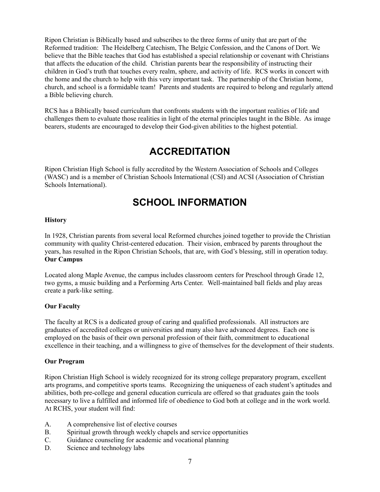Ripon Christian is Biblically based and subscribes to the three forms of unity that are part of the Reformed tradition: The Heidelberg Catechism, The Belgic Confession, and the Canons of Dort. We believe that the Bible teaches that God has established a special relationship or covenant with Christians that affects the education of the child. Christian parents bear the responsibility of instructing their children in God's truth that touches every realm, sphere, and activity of life. RCS works in concert with the home and the church to help with this very important task. The partnership of the Christian home, church, and school is a formidable team! Parents and students are required to belong and regularly attend a Bible believing church.

RCS has a Biblically based curriculum that confronts students with the important realities of life and challenges them to evaluate those realities in light of the eternal principles taught in the Bible. As image bearers, students are encouraged to develop their God-given abilities to the highest potential.

## **ACCREDITATION**

Ripon Christian High School is fully accredited by the Western Association of Schools and Colleges (WASC) and is a member of Christian Schools International (CSI) and ACSI (Association of Christian Schools International).

## **SCHOOL INFORMATION**

#### **History**

In 1928, Christian parents from several local Reformed churches joined together to provide the Christian community with quality Christ-centered education. Their vision, embraced by parents throughout the years, has resulted in the Ripon Christian Schools, that are, with God's blessing, still in operation today. **Our Campus**

Located along Maple Avenue, the campus includes classroom centers for Preschool through Grade 12, two gyms, a music building and a Performing Arts Center. Well-maintained ball fields and play areas create a park-like setting.

#### **Our Faculty**

The faculty at RCS is a dedicated group of caring and qualified professionals. All instructors are graduates of accredited colleges or universities and many also have advanced degrees. Each one is employed on the basis of their own personal profession of their faith, commitment to educational excellence in their teaching, and a willingness to give of themselves for the development of their students.

#### **Our Program**

Ripon Christian High School is widely recognized for its strong college preparatory program, excellent arts programs, and competitive sports teams. Recognizing the uniqueness of each student's aptitudes and abilities, both pre-college and general education curricula are offered so that graduates gain the tools necessary to live a fulfilled and informed life of obedience to God both at college and in the work world. At RCHS, your student will find:

- A. A comprehensive list of elective courses
- B. Spiritual growth through weekly chapels and service opportunities
- C. Guidance counseling for academic and vocational planning
- D. Science and technology labs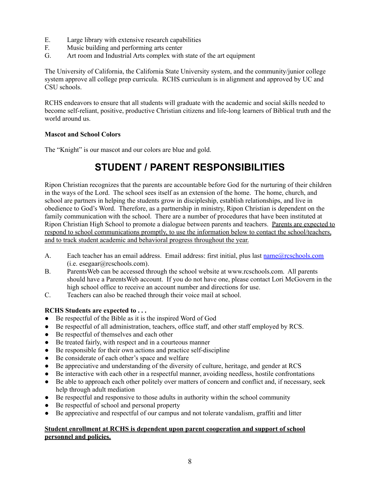- E. Large library with extensive research capabilities
- F. Music building and performing arts center
- G. Art room and Industrial Arts complex with state of the art equipment

The University of California, the California State University system, and the community/junior college system approve all college prep curricula. RCHS curriculum is in alignment and approved by UC and CSU schools.

RCHS endeavors to ensure that all students will graduate with the academic and social skills needed to become self-reliant, positive, productive Christian citizens and life-long learners of Biblical truth and the world around us.

#### **Mascot and School Colors**

The "Knight" is our mascot and our colors are blue and gold.

## **STUDENT / PARENT RESPONSIBILITIES**

Ripon Christian recognizes that the parents are accountable before God for the nurturing of their children in the ways of the Lord. The school sees itself as an extension of the home. The home, church, and school are partners in helping the students grow in discipleship, establish relationships, and live in obedience to God's Word. Therefore, as a partnership in ministry, Ripon Christian is dependent on the family communication with the school. There are a number of procedures that have been instituted at Ripon Christian High School to promote a dialogue between parents and teachers. Parents are expected to respond to school communications promptly, to use the information below to contact the school/teachers, and to track student academic and behavioral progress throughout the year.

- A. Each teacher has an email address. Email address: first initial, plus last [name@rcschools.com](mailto:name@rcschools.com) (i.e. esegaar@rcschools.com).
- B. ParentsWeb can be accessed through the school website at www.rcschools.com. All parents should have a ParentsWeb account. If you do not have one, please contact Lori McGovern in the high school office to receive an account number and directions for use.
- C. Teachers can also be reached through their voice mail at school.

#### **RCHS Students are expected to . . .**

- Be respectful of the Bible as it is the inspired Word of God
- Be respectful of all administration, teachers, office staff, and other staff employed by RCS.
- Be respectful of themselves and each other
- Be treated fairly, with respect and in a courteous manner
- Be responsible for their own actions and practice self-discipline
- Be considerate of each other's space and welfare
- Be appreciative and understanding of the diversity of culture, heritage, and gender at RCS
- Be interactive with each other in a respectful manner, avoiding needless, hostile confrontations
- Be able to approach each other politely over matters of concern and conflict and, if necessary, seek help through adult mediation
- Be respectful and responsive to those adults in authority within the school community
- Be respectful of school and personal property
- Be appreciative and respectful of our campus and not tolerate vandalism, graffiti and litter

#### **Student enrollment at RCHS is dependent upon parent cooperation and support of school personnel and policies.**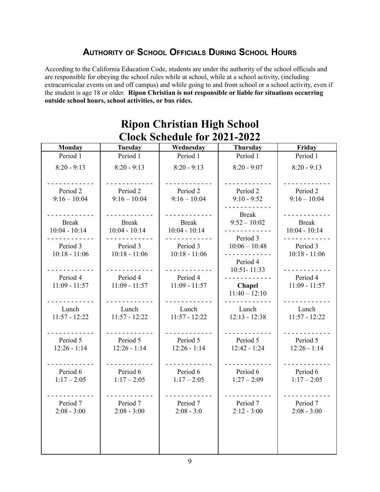## **AUTHORITY OF SCHOOL OFFICIALS DURING SCHOOL HOURS**

According to the California Education Code, students are under the authority of the school officials and are responsible for obeying the school rules while at school, while at a school activity, (including extracurricular events on and off campus) and while going to and from school or a school activity, even if the student is age 18 or older. **Ripon Christian is not responsible or liable for situations occurring outside school hours, school activities, or bus rides.**

| Civen Deneguie IVI <i>E</i> vel <i>E</i> vel |                 |                 |                         |                 |
|----------------------------------------------|-----------------|-----------------|-------------------------|-----------------|
| <b>Monday</b>                                | <b>Tuesday</b>  | Wednesday       | <b>Thursday</b>         | Friday          |
| Period 1                                     | Period 1        | Period 1        | Period 1                | Period 1        |
| $8:20 - 9:13$                                | $8:20 - 9:13$   | $8:20 - 9:13$   | $8:20 - 9:07$           | $8:20 - 9:13$   |
|                                              |                 |                 |                         |                 |
| Period 2                                     | Period 2        | Period 2        | Period 2                | Period 2        |
| $9:16 - 10:04$                               | $9:16 - 10:04$  | $9:16 - 10:04$  | $9:10 - 9:52$           | $9:16 - 10:04$  |
|                                              |                 |                 | <b>Break</b>            |                 |
| <b>Break</b>                                 | <b>Break</b>    | <b>Break</b>    | $9:52 - 10:02$          | <b>Break</b>    |
| $10:04 - 10:14$                              | $10:04 - 10:14$ | $10:04 - 10:14$ |                         | $10:04 - 10:14$ |
|                                              |                 |                 | Period 3                |                 |
| Period 3                                     | Period 3        | Period 3        | $10:06 - 10:48$         | Period 3        |
| $10:18 - 11:06$                              | $10:18 - 11:06$ | $10:18 - 11:06$ | <u>.</u>                | $10:18 - 11:06$ |
|                                              |                 |                 | Period 4<br>10:51-11:33 |                 |
| Period 4                                     | Period 4        | Period 4        |                         | Period 4        |
| $11:09 - 11:57$                              | $11:09 - 11:57$ | $11:09 - 11:57$ | <b>Chapel</b>           | $11:09 - 11:57$ |
|                                              |                 |                 | $11:40 - 12:10$         |                 |
| Lunch                                        | Lunch           | Lunch           | Lunch                   | Lunch           |
| $11:57 - 12:22$                              | $11:57 - 12:22$ | $11:57 - 12:22$ | $12:13 - 12:38$         | $11:57 - 12:22$ |
|                                              |                 |                 |                         |                 |
| Period 5                                     | Period 5        | Period 5        | Period 5                | Period 5        |
| $12:26 - 1:14$                               | $12:26 - 1:14$  | $12:26 - 1:14$  | $12:42 - 1:24$          | $12:26 - 1:14$  |
|                                              |                 |                 |                         |                 |
| Period 6                                     | Period 6        | Period 6        | Period 6                | Period 6        |
| $1:17 - 2:05$                                | $1:17 - 2:05$   | $1:17 - 2:05$   | $1:27 - 2:09$           | $1:17 - 2:05$   |
|                                              |                 |                 |                         |                 |
| Period 7                                     | Period 7        | Period 7        | Period 7                | Period 7        |
| $2:08 - 3:00$                                | $2:08 - 3:00$   | $2:08 - 3:0$    | $2:12 - 3:00$           | $2:08 - 3:00$   |
|                                              |                 |                 |                         |                 |
|                                              |                 |                 |                         |                 |
|                                              |                 |                 |                         |                 |
|                                              |                 |                 |                         |                 |

## **Ripon Christian High School Clock Schedule for 2021-2022**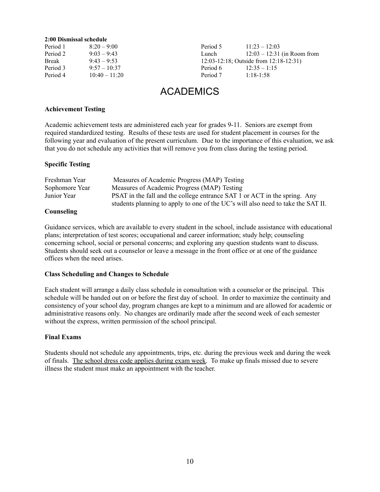#### **2:00 Dismissal schedule**

| Period 1     | $8:20 - 9:00$   |
|--------------|-----------------|
| Period 2     | $9:03 - 9:43$   |
| <b>Break</b> | $9.43 - 9.53$   |
| Period 3     | $9:57 - 10:37$  |
| Period 4     | $10:40 - 11:20$ |

Period 5 11:23 – 12:03 Lunch 12:03 – 12:31 (in Room from 12:03-12:18; Outside from 12:18-12:31) Period 6 12:35 – 1:15 Period 7 1:18-1:58

## ACADEMICS

#### **Achievement Testing**

Academic achievement tests are administered each year for grades 9-11. Seniors are exempt from required standardized testing. Results of these tests are used for student placement in courses for the following year and evaluation of the present curriculum. Due to the importance of this evaluation, we ask that you do not schedule any activities that will remove you from class during the testing period.

#### **Specific Testing**

| Freshman Year  | Measures of Academic Progress (MAP) Testing                                      |
|----------------|----------------------------------------------------------------------------------|
| Sophomore Year | Measures of Academic Progress (MAP) Testing                                      |
| Junior Year    | PSAT in the fall and the college entrance SAT 1 or ACT in the spring. Any        |
|                | students planning to apply to one of the UC's will also need to take the SAT II. |
|                |                                                                                  |

#### **Counseling**

Guidance services, which are available to every student in the school, include assistance with educational plans; interpretation of test scores; occupational and career information; study help; counseling concerning school, social or personal concerns; and exploring any question students want to discuss. Students should seek out a counselor or leave a message in the front office or at one of the guidance offices when the need arises.

#### **Class Scheduling and Changes to Schedule**

Each student will arrange a daily class schedule in consultation with a counselor or the principal. This schedule will be handed out on or before the first day of school. In order to maximize the continuity and consistency of your school day, program changes are kept to a minimum and are allowed for academic or administrative reasons only. No changes are ordinarily made after the second week of each semester without the express, written permission of the school principal.

#### **Final Exams**

Students should not schedule any appointments, trips, etc. during the previous week and during the week of finals. The school dress code applies during exam week. To make up finals missed due to severe illness the student must make an appointment with the teacher.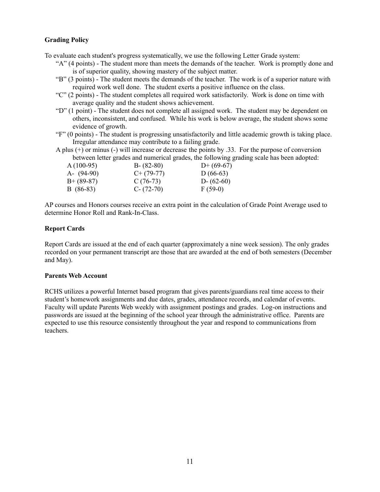#### **Grading Policy**

To evaluate each student's progress systematically, we use the following Letter Grade system:

- "A" (4 points) The student more than meets the demands of the teacher. Work is promptly done and is of superior quality, showing mastery of the subject matter.
- "B" (3 points) The student meets the demands of the teacher. The work is of a superior nature with required work well done. The student exerts a positive influence on the class.
- "C" (2 points) The student completes all required work satisfactorily. Work is done on time with average quality and the student shows achievement.
- "D" (1 point) The student does not complete all assigned work. The student may be dependent on others, inconsistent, and confused. While his work is below average, the student shows some evidence of growth.
- "F" (0 points) The student is progressing unsatisfactorily and little academic growth is taking place. Irregular attendance may contribute to a failing grade.

A plus (+) or minus (-) will increase or decrease the points by .33. For the purpose of conversion between letter grades and numerical grades, the following grading scale has been adopted:

| $A(100-95)$   | $B - (82-80)$ | $D+$ (69-67)  |
|---------------|---------------|---------------|
| $A - (94-90)$ | $C+ (79-77)$  | $D(66-63)$    |
| $B+ (89-87)$  | $C(76-73)$    | $D - (62-60)$ |
| $B(86-83)$    | $C - (72-70)$ | $F(59-0)$     |

AP courses and Honors courses receive an extra point in the calculation of Grade Point Average used to determine Honor Roll and Rank-In-Class.

#### **Report Cards**

Report Cards are issued at the end of each quarter (approximately a nine week session). The only grades recorded on your permanent transcript are those that are awarded at the end of both semesters (December and May).

#### **Parents Web Account**

RCHS utilizes a powerful Internet based program that gives parents/guardians real time access to their student's homework assignments and due dates, grades, attendance records, and calendar of events. Faculty will update Parents Web weekly with assignment postings and grades. Log-on instructions and passwords are issued at the beginning of the school year through the administrative office. Parents are expected to use this resource consistently throughout the year and respond to communications from teachers.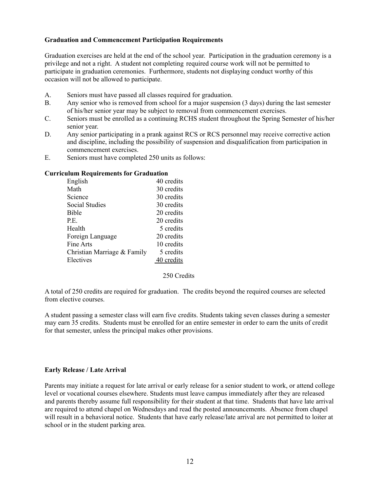#### **Graduation and Commencement Participation Requirements**

Graduation exercises are held at the end of the school year. Participation in the graduation ceremony is a privilege and not a right. A student not completing required course work will not be permitted to participate in graduation ceremonies. Furthermore, students not displaying conduct worthy of this occasion will not be allowed to participate.

- A. Seniors must have passed all classes required for graduation.
- B. Any senior who is removed from school for a major suspension (3 days) during the last semester of his/her senior year may be subject to removal from commencement exercises.
- C. Seniors must be enrolled as a continuing RCHS student throughout the Spring Semester of his/her senior year.
- D. Any senior participating in a prank against RCS or RCS personnel may receive corrective action and discipline, including the possibility of suspension and disqualification from participation in commencement exercises.
- E. Seniors must have completed 250 units as follows:

#### **Curriculum Requirements for Graduation**

| English                     | 40 credits |
|-----------------------------|------------|
| Math                        | 30 credits |
| Science                     | 30 credits |
| Social Studies              | 30 credits |
| <b>Bible</b>                | 20 credits |
| P.E.                        | 20 credits |
| Health                      | 5 credits  |
| Foreign Language            | 20 credits |
| Fine Arts                   | 10 credits |
| Christian Marriage & Family | 5 credits  |
| Electives                   | 40 credits |
|                             |            |

250 Credits

A total of 250 credits are required for graduation. The credits beyond the required courses are selected from elective courses.

A student passing a semester class will earn five credits. Students taking seven classes during a semester may earn 35 credits. Students must be enrolled for an entire semester in order to earn the units of credit for that semester, unless the principal makes other provisions.

#### **Early Release / Late Arrival**

Parents may initiate a request for late arrival or early release for a senior student to work, or attend college level or vocational courses elsewhere. Students must leave campus immediately after they are released and parents thereby assume full responsibility for their student at that time. Students that have late arrival are required to attend chapel on Wednesdays and read the posted announcements. Absence from chapel will result in a behavioral notice. Students that have early release/late arrival are not permitted to loiter at school or in the student parking area.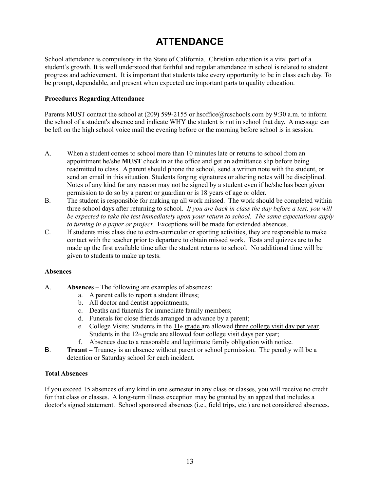## **ATTENDANCE**

School attendance is compulsory in the State of California. Christian education is a vital part of a student's growth. It is well understood that faithful and regular attendance in school is related to student progress and achievement. It is important that students take every opportunity to be in class each day. To be prompt, dependable, and present when expected are important parts to quality education.

#### **Procedures Regarding Attendance**

Parents MUST contact the school at (209) 599-2155 or hsoffice@rcschools.com by 9:30 a.m. to inform the school of a student's absence and indicate WHY the student is not in school that day. A message can be left on the high school voice mail the evening before or the morning before school is in session.

- A. When a student comes to school more than 10 minutes late or returns to school from an appointment he/she **MUST** check in at the office and get an admittance slip before being readmitted to class. A parent should phone the school, send a written note with the student, or send an email in this situation. Students forging signatures or altering notes will be disciplined. Notes of any kind for any reason may not be signed by a student even if he/she has been given permission to do so by a parent or guardian or is 18 years of age or older.
- B. The student is responsible for making up all work missed. The work should be completed within three school days after returning to school. *If you are back in class the day before a test, you will be expected to take the test immediately upon your return to school. The same expectations apply to turning in a paper or project*. Exceptions will be made for extended absences.
- C. If students miss class due to extra-curricular or sporting activities, they are responsible to make contact with the teacher prior to departure to obtain missed work. Tests and quizzes are to be made up the first available time after the student returns to school. No additional time will be given to students to make up tests.

#### **Absences**

- A. **Absences** The following are examples of absences:
	- a. A parent calls to report a student illness;
	- b. All doctor and dentist appointments;
	- c. Deaths and funerals for immediate family members;
	- d. Funerals for close friends arranged in advance by a parent;
	- e. College Visits: Students in the  $11<sub>th</sub>$  grade are allowed three college visit day per year. Students in the  $12<sub>th</sub>$  grade are allowed four college visit days per year;
	- f. Absences due to a reasonable and legitimate family obligation with notice.
- B. **Truant –** Truancy is an absence without parent or school permission. The penalty will be a detention or Saturday school for each incident.

#### **Total Absences**

If you exceed 15 absences of any kind in one semester in any class or classes, you will receive no credit for that class or classes. A long-term illness exception may be granted by an appeal that includes a doctor's signed statement. School sponsored absences (i.e., field trips, etc.) are not considered absences.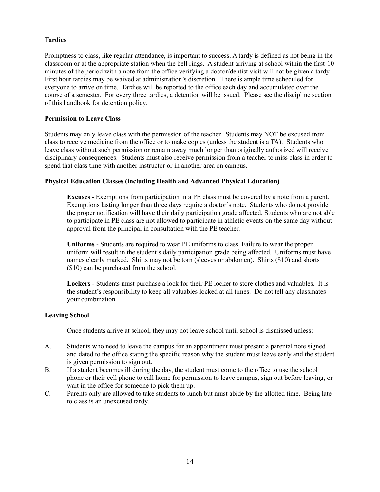#### **Tardies**

Promptness to class, like regular attendance, is important to success. A tardy is defined as not being in the classroom or at the appropriate station when the bell rings. A student arriving at school within the first 10 minutes of the period with a note from the office verifying a doctor/dentist visit will not be given a tardy. First hour tardies may be waived at administration's discretion. There is ample time scheduled for everyone to arrive on time. Tardies will be reported to the office each day and accumulated over the course of a semester. For every three tardies, a detention will be issued. Please see the discipline section of this handbook for detention policy.

#### **Permission to Leave Class**

Students may only leave class with the permission of the teacher. Students may NOT be excused from class to receive medicine from the office or to make copies (unless the student is a TA). Students who leave class without such permission or remain away much longer than originally authorized will receive disciplinary consequences. Students must also receive permission from a teacher to miss class in order to spend that class time with another instructor or in another area on campus.

#### **Physical Education Classes (including Health and Advanced Physical Education)**

**Excuses** - Exemptions from participation in a PE class must be covered by a note from a parent. Exemptions lasting longer than three days require a doctor's note. Students who do not provide the proper notification will have their daily participation grade affected. Students who are not able to participate in PE class are not allowed to participate in athletic events on the same day without approval from the principal in consultation with the PE teacher.

**Uniforms** - Students are required to wear PE uniforms to class. Failure to wear the proper uniform will result in the student's daily participation grade being affected. Uniforms must have names clearly marked. Shirts may not be torn (sleeves or abdomen). Shirts (\$10) and shorts (\$10) can be purchased from the school.

**Lockers** - Students must purchase a lock for their PE locker to store clothes and valuables. It is the student's responsibility to keep all valuables locked at all times. Do not tell any classmates your combination.

#### **Leaving School**

Once students arrive at school, they may not leave school until school is dismissed unless:

- A. Students who need to leave the campus for an appointment must present a parental note signed and dated to the office stating the specific reason why the student must leave early and the student is given permission to sign out.
- B. If a student becomes ill during the day, the student must come to the office to use the school phone or their cell phone to call home for permission to leave campus, sign out before leaving, or wait in the office for someone to pick them up.
- C. Parents only are allowed to take students to lunch but must abide by the allotted time. Being late to class is an unexcused tardy.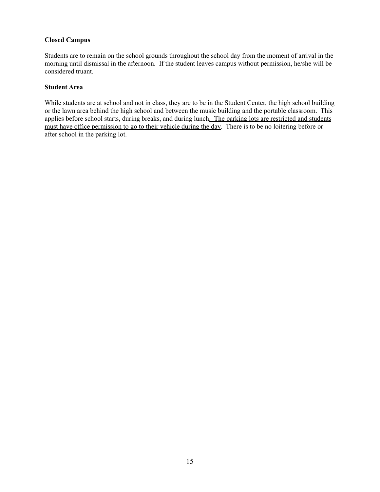#### **Closed Campus**

Students are to remain on the school grounds throughout the school day from the moment of arrival in the morning until dismissal in the afternoon. If the student leaves campus without permission, he/she will be considered truant.

#### **Student Area**

While students are at school and not in class, they are to be in the Student Center, the high school building or the lawn area behind the high school and between the music building and the portable classroom. This applies before school starts, during breaks, and during lunch. The parking lots are restricted and students must have office permission to go to their vehicle during the day. There is to be no loitering before or after school in the parking lot.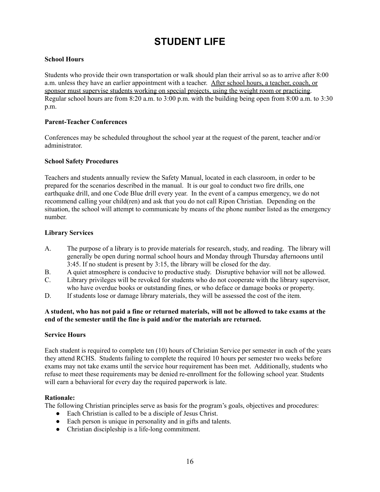## **STUDENT LIFE**

#### **School Hours**

Students who provide their own transportation or walk should plan their arrival so as to arrive after 8:00 a.m. unless they have an earlier appointment with a teacher. After school hours, a teacher, coach, or sponsor must supervise students working on special projects, using the weight room or practicing. Regular school hours are from 8:20 a.m. to 3:00 p.m. with the building being open from 8:00 a.m. to 3:30 p.m.

#### **Parent-Teacher Conferences**

Conferences may be scheduled throughout the school year at the request of the parent, teacher and/or administrator.

#### **School Safety Procedures**

Teachers and students annually review the Safety Manual, located in each classroom, in order to be prepared for the scenarios described in the manual. It is our goal to conduct two fire drills, one earthquake drill, and one Code Blue drill every year. In the event of a campus emergency, we do not recommend calling your child(ren) and ask that you do not call Ripon Christian. Depending on the situation, the school will attempt to communicate by means of the phone number listed as the emergency number.

#### **Library Services**

- A. The purpose of a library is to provide materials for research, study, and reading. The library will generally be open during normal school hours and Monday through Thursday afternoons until 3:45. If no student is present by 3:15, the library will be closed for the day.
- B. A quiet atmosphere is conducive to productive study. Disruptive behavior will not be allowed.
- C. Library privileges will be revoked for students who do not cooperate with the library supervisor, who have overdue books or outstanding fines, or who deface or damage books or property.
- D. If students lose or damage library materials, they will be assessed the cost of the item.

#### A student, who has not paid a fine or returned materials, will not be allowed to take exams at the **end of the semester until the fine is paid and/or the materials are returned.**

#### **Service Hours**

Each student is required to complete ten (10) hours of Christian Service per semester in each of the years they attend RCHS. Students failing to complete the required 10 hours per semester two weeks before exams may not take exams until the service hour requirement has been met. Additionally, students who refuse to meet these requirements may be denied re-enrollment for the following school year. Students will earn a behavioral for every day the required paperwork is late.

#### **Rationale:**

The following Christian principles serve as basis for the program's goals, objectives and procedures:

- Each Christian is called to be a disciple of Jesus Christ.
- Each person is unique in personality and in gifts and talents.
- Christian discipleship is a life-long commitment.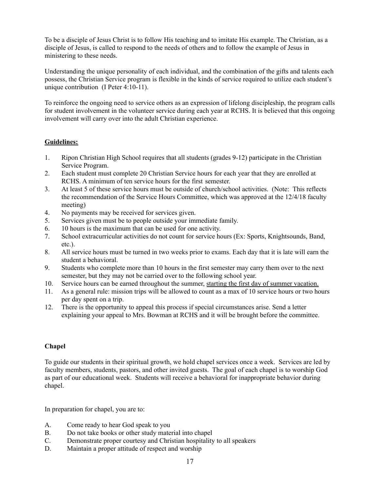To be a disciple of Jesus Christ is to follow His teaching and to imitate His example. The Christian, as a disciple of Jesus, is called to respond to the needs of others and to follow the example of Jesus in ministering to these needs.

Understanding the unique personality of each individual, and the combination of the gifts and talents each possess, the Christian Service program is flexible in the kinds of service required to utilize each student's unique contribution (I Peter 4:10-11).

To reinforce the ongoing need to service others as an expression of lifelong discipleship, the program calls for student involvement in the volunteer service during each year at RCHS. It is believed that this ongoing involvement will carry over into the adult Christian experience.

#### **Guidelines:**

- 1. Ripon Christian High School requires that all students (grades 9-12) participate in the Christian Service Program.
- 2. Each student must complete 20 Christian Service hours for each year that they are enrolled at RCHS. A minimum of ten service hours for the first semester.
- 3. At least 5 of these service hours must be outside of church/school activities. (Note: This reflects the recommendation of the Service Hours Committee, which was approved at the 12/4/18 faculty meeting)
- 4. No payments may be received for services given.
- 5. Services given must be to people outside your immediate family.
- 6. 10 hours is the maximum that can be used for one activity.
- 7. School extracurricular activities do not count for service hours (Ex: Sports, Knightsounds, Band, etc.).
- 8. All service hours must be turned in two weeks prior to exams. Each day that it is late will earn the student a behavioral.
- 9. Students who complete more than 10 hours in the first semester may carry them over to the next semester, but they may not be carried over to the following school year.
- 10. Service hours can be earned throughout the summer, starting the first day of summer vacation.
- 11. As a general rule: mission trips will be allowed to count as a max of 10 service hours or two hours per day spent on a trip.
- 12. There is the opportunity to appeal this process if special circumstances arise. Send a letter explaining your appeal to Mrs. Bowman at RCHS and it will be brought before the committee.

#### **Chapel**

To guide our students in their spiritual growth, we hold chapel services once a week. Services are led by faculty members, students, pastors, and other invited guests. The goal of each chapel is to worship God as part of our educational week. Students will receive a behavioral for inappropriate behavior during chapel.

In preparation for chapel, you are to:

- A. Come ready to hear God speak to you
- B. Do not take books or other study material into chapel
- C. Demonstrate proper courtesy and Christian hospitality to all speakers
- D. Maintain a proper attitude of respect and worship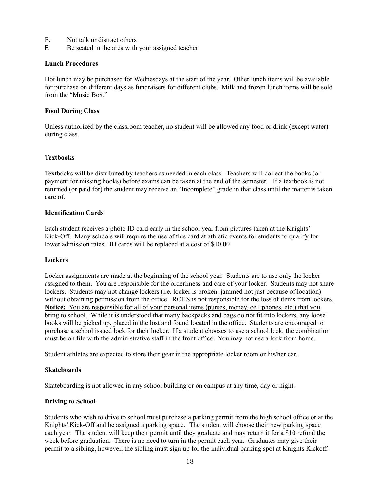- E. Not talk or distract others
- F. Be seated in the area with your assigned teacher

#### **Lunch Procedures**

Hot lunch may be purchased for Wednesdays at the start of the year. Other lunch items will be available for purchase on different days as fundraisers for different clubs. Milk and frozen lunch items will be sold from the "Music Box."

#### **Food During Class**

Unless authorized by the classroom teacher, no student will be allowed any food or drink (except water) during class.

#### **Textbooks**

Textbooks will be distributed by teachers as needed in each class. Teachers will collect the books (or payment for missing books) before exams can be taken at the end of the semester. If a textbook is not returned (or paid for) the student may receive an "Incomplete" grade in that class until the matter is taken care of.

#### **Identification Cards**

Each student receives a photo ID card early in the school year from pictures taken at the Knights' Kick-Off. Many schools will require the use of this card at athletic events for students to qualify for lower admission rates. ID cards will be replaced at a cost of \$10.00

#### **Lockers**

Locker assignments are made at the beginning of the school year. Students are to use only the locker assigned to them. You are responsible for the orderliness and care of your locker. Students may not share lockers. Students may not change lockers (i.e. locker is broken, jammed not just because of location) without obtaining permission from the office. RCHS is not responsible for the loss of items from lockers. **Notice:** You are responsible for all of your personal items (purses, money, cell phones, etc.) that you bring to school. While it is understood that many backpacks and bags do not fit into lockers, any loose books will be picked up, placed in the lost and found located in the office. Students are encouraged to purchase a school issued lock for their locker. If a student chooses to use a school lock, the combination must be on file with the administrative staff in the front office. You may not use a lock from home.

Student athletes are expected to store their gear in the appropriate locker room or his/her car.

#### **Skateboards**

Skateboarding is not allowed in any school building or on campus at any time, day or night.

#### **Driving to School**

Students who wish to drive to school must purchase a parking permit from the high school office or at the Knights' Kick-Off and be assigned a parking space. The student will choose their new parking space each year. The student will keep their permit until they graduate and may return it for a \$10 refund the week before graduation. There is no need to turn in the permit each year. Graduates may give their permit to a sibling, however, the sibling must sign up for the individual parking spot at Knights Kickoff.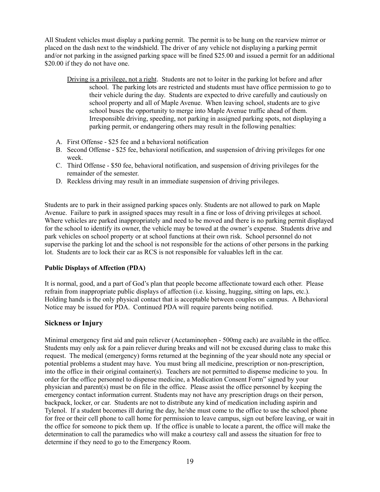All Student vehicles must display a parking permit. The permit is to be hung on the rearview mirror or placed on the dash next to the windshield. The driver of any vehicle not displaying a parking permit and/or not parking in the assigned parking space will be fined \$25.00 and issued a permit for an additional \$20.00 if they do not have one.

- Driving is a privilege, not a right. Students are not to loiter in the parking lot before and after school. The parking lots are restricted and students must have office permission to go to their vehicle during the day. Students are expected to drive carefully and cautiously on school property and all of Maple Avenue. When leaving school, students are to give school buses the opportunity to merge into Maple Avenue traffic ahead of them. Irresponsible driving, speeding, not parking in assigned parking spots, not displaying a parking permit, or endangering others may result in the following penalties:
- A. First Offense \$25 fee and a behavioral notification
- B. Second Offense \$25 fee, behavioral notification, and suspension of driving privileges for one week.
- C. Third Offense \$50 fee, behavioral notification, and suspension of driving privileges for the remainder of the semester.
- D. Reckless driving may result in an immediate suspension of driving privileges.

Students are to park in their assigned parking spaces only. Students are not allowed to park on Maple Avenue. Failure to park in assigned spaces may result in a fine or loss of driving privileges at school. Where vehicles are parked inappropriately and need to be moved and there is no parking permit displayed for the school to identify its owner, the vehicle may be towed at the owner's expense. Students drive and park vehicles on school property or at school functions at their own risk. School personnel do not supervise the parking lot and the school is not responsible for the actions of other persons in the parking lot. Students are to lock their car as RCS is not responsible for valuables left in the car.

#### **Public Displays of Affection (PDA)**

It is normal, good, and a part of God's plan that people become affectionate toward each other. Please refrain from inappropriate public displays of affection (i.e. kissing, hugging, sitting on laps, etc.). Holding hands is the only physical contact that is acceptable between couples on campus. A Behavioral Notice may be issued for PDA. Continued PDA will require parents being notified.

#### **Sickness or Injury**

Minimal emergency first aid and pain reliever (Acetaminophen - 500mg each) are available in the office. Students may only ask for a pain reliever during breaks and will not be excused during class to make this request. The medical (emergency) forms returned at the beginning of the year should note any special or potential problems a student may have. You must bring all medicine, prescription or non-prescription, into the office in their original container(s). Teachers are not permitted to dispense medicine to you. In order for the office personnel to dispense medicine, a Medication Consent Form" signed by your physician and parent(s) must be on file in the office. Please assist the office personnel by keeping the emergency contact information current. Students may not have any prescription drugs on their person, backpack, locker, or car. Students are not to distribute any kind of medication including aspirin and Tylenol. If a student becomes ill during the day, he/she must come to the office to use the school phone for free or their cell phone to call home for permission to leave campus, sign out before leaving, or wait in the office for someone to pick them up. If the office is unable to locate a parent, the office will make the determination to call the paramedics who will make a courtesy call and assess the situation for free to determine if they need to go to the Emergency Room.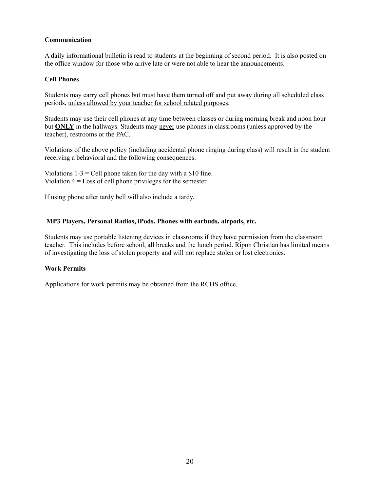#### **Communication**

A daily informational bulletin is read to students at the beginning of second period. It is also posted on the office window for those who arrive late or were not able to hear the announcements.

#### **Cell Phones**

Students may carry cell phones but must have them turned off and put away during all scheduled class periods, unless allowed by your teacher for school related purposes.

Students may use their cell phones at any time between classes or during morning break and noon hour but **ONLY** in the hallways. Students may never use phones in classrooms (unless approved by the teacher), restrooms or the PAC.

Violations of the above policy (including accidental phone ringing during class) will result in the student receiving a behavioral and the following consequences.

Violations  $1-3 =$  Cell phone taken for the day with a \$10 fine. Violation 4 = Loss of cell phone privileges for the semester.

If using phone after tardy bell will also include a tardy.

#### **MP3 Players, Personal Radios, iPods, Phones with earbuds, airpods, etc.**

Students may use portable listening devices in classrooms if they have permission from the classroom teacher. This includes before school, all breaks and the lunch period. Ripon Christian has limited means of investigating the loss of stolen property and will not replace stolen or lost electronics.

#### **Work Permits**

Applications for work permits may be obtained from the RCHS office.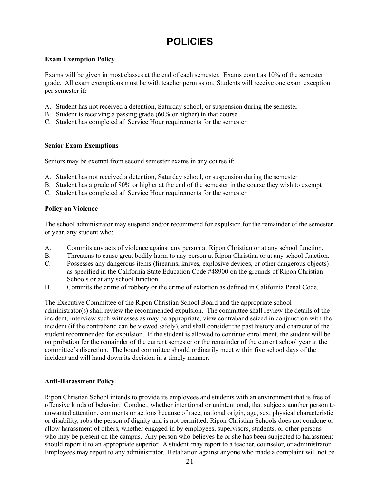## **POLICIES**

#### **Exam Exemption Policy**

Exams will be given in most classes at the end of each semester. Exams count as 10% of the semester grade. All exam exemptions must be with teacher permission. Students will receive one exam exception per semester if:

- A. Student has not received a detention, Saturday school, or suspension during the semester
- B. Student is receiving a passing grade (60% or higher) in that course
- C. Student has completed all Service Hour requirements for the semester

#### **Senior Exam Exemptions**

Seniors may be exempt from second semester exams in any course if:

- A. Student has not received a detention, Saturday school, or suspension during the semester
- B. Student has a grade of 80% or higher at the end of the semester in the course they wish to exempt
- C. Student has completed all Service Hour requirements for the semester

#### **Policy on Violence**

The school administrator may suspend and/or recommend for expulsion for the remainder of the semester or year, any student who:

- A. Commits any acts of violence against any person at Ripon Christian or at any school function.
- B. Threatens to cause great bodily harm to any person at Ripon Christian or at any school function.
- C. Possesses any dangerous items (firearms, knives, explosive devices, or other dangerous objects) as specified in the California State Education Code #48900 on the grounds of Ripon Christian Schools or at any school function.
- D. Commits the crime of robbery or the crime of extortion as defined in California Penal Code.

The Executive Committee of the Ripon Christian School Board and the appropriate school administrator(s) shall review the recommended expulsion. The committee shall review the details of the incident, interview such witnesses as may be appropriate, view contraband seized in conjunction with the incident (if the contraband can be viewed safely), and shall consider the past history and character of the student recommended for expulsion. If the student is allowed to continue enrollment, the student will be on probation for the remainder of the current semester or the remainder of the current school year at the committee's discretion. The board committee should ordinarily meet within five school days of the incident and will hand down its decision in a timely manner.

#### **Anti-Harassment Policy**

Ripon Christian School intends to provide its employees and students with an environment that is free of offensive kinds of behavior. Conduct, whether intentional or unintentional, that subjects another person to unwanted attention, comments or actions because of race, national origin, age, sex, physical characteristic or disability, robs the person of dignity and is not permitted. Ripon Christian Schools does not condone or allow harassment of others, whether engaged in by employees, supervisors, students, or other persons who may be present on the campus. Any person who believes he or she has been subjected to harassment should report it to an appropriate superior. A student may report to a teacher, counselor, or administrator. Employees may report to any administrator. Retaliation against anyone who made a complaint will not be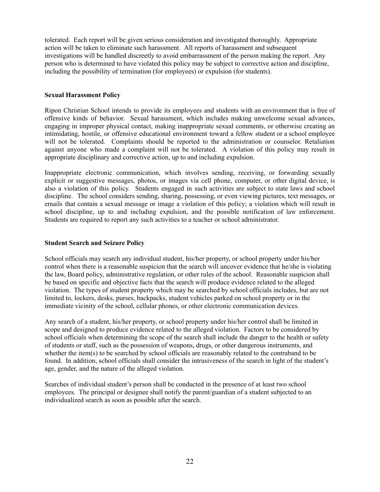tolerated. Each report will be given serious consideration and investigated thoroughly. Appropriate action will be taken to eliminate such harassment. All reports of harassment and subsequent investigations will be handled discreetly to avoid embarrassment of the person making the report. Any person who is determined to have violated this policy may be subject to corrective action and discipline, including the possibility of termination (for employees) or expulsion (for students).

#### **Sexual Harassment Policy**

Ripon Christian School intends to provide its employees and students with an environment that is free of offensive kinds of behavior. Sexual harassment, which includes making unwelcome sexual advances, engaging in improper physical contact, making inappropriate sexual comments, or otherwise creating an intimidating, hostile, or offensive educational environment toward a fellow student or a school employee will not be tolerated. Complaints should be reported to the administration or counselor. Retaliation against anyone who made a complaint will not be tolerated. A violation of this policy may result in appropriate disciplinary and corrective action, up to and including expulsion.

Inappropriate electronic communication, which involves sending, receiving, or forwarding sexually explicit or suggestive messages, photos, or images via cell phone, computer, or other digital device, is also a violation of this policy. Students engaged in such activities are subject to state laws and school discipline. The school considers sending, sharing, possessing, or even viewing pictures, text messages, or emails that contain a sexual message or image a violation of this policy; a violation which will result in school discipline, up to and including expulsion, and the possible notification of law enforcement. Students are required to report any such activities to a teacher or school administrator.

#### **Student Search and Seizure Policy**

School officials may search any individual student, his/her property, or school property under his/her control when there is a reasonable suspicion that the search will uncover evidence that he/she is violating the law, Board policy, administrative regulation, or other rules of the school. Reasonable suspicion shall be based on specific and objective facts that the search will produce evidence related to the alleged violation. The types of student property which may be searched by school officials includes, but are not limited to, lockers, desks, purses, backpacks, student vehicles parked on school property or in the immediate vicinity of the school, cellular phones, or other electronic communication devices.

Any search of a student, his/her property, or school property under his/her control shall be limited in scope and designed to produce evidence related to the alleged violation. Factors to be considered by school officials when determining the scope of the search shall include the danger to the health or safety of students or staff, such as the possession of weapons, drugs, or other dangerous instruments, and whether the item(s) to be searched by school officials are reasonably related to the contraband to be found. In addition, school officials shall consider the intrusiveness of the search in light of the student's age, gender, and the nature of the alleged violation.

Searches of individual student's person shall be conducted in the presence of at least two school employees. The principal or designee shall notify the parent/guardian of a student subjected to an individualized search as soon as possible after the search.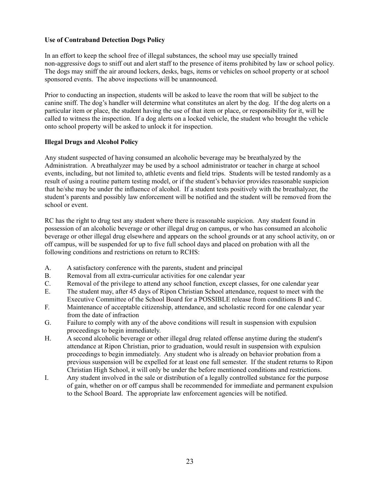#### **Use of Contraband Detection Dogs Policy**

In an effort to keep the school free of illegal substances, the school may use specially trained non-aggressive dogs to sniff out and alert staff to the presence of items prohibited by law or school policy. The dogs may sniff the air around lockers, desks, bags, items or vehicles on school property or at school sponsored events. The above inspections will be unannounced.

Prior to conducting an inspection, students will be asked to leave the room that will be subject to the canine sniff. The dog's handler will determine what constitutes an alert by the dog. If the dog alerts on a particular item or place, the student having the use of that item or place, or responsibility for it, will be called to witness the inspection. If a dog alerts on a locked vehicle, the student who brought the vehicle onto school property will be asked to unlock it for inspection.

#### **Illegal Drugs and Alcohol Policy**

Any student suspected of having consumed an alcoholic beverage may be breathalyzed by the Administration. A breathalyzer may be used by a school administrator or teacher in charge at school events, including, but not limited to, athletic events and field trips. Students will be tested randomly as a result of using a routine pattern testing model, or if the student's behavior provides reasonable suspicion that he/she may be under the influence of alcohol. If a student tests positively with the breathalyzer, the student's parents and possibly law enforcement will be notified and the student will be removed from the school or event.

RC has the right to drug test any student where there is reasonable suspicion. Any student found in possession of an alcoholic beverage or other illegal drug on campus, or who has consumed an alcoholic beverage or other illegal drug elsewhere and appears on the school grounds or at any school activity, on or off campus, will be suspended for up to five full school days and placed on probation with all the following conditions and restrictions on return to RCHS:

- A. A satisfactory conference with the parents, student and principal
- B. Removal from all extra-curricular activities for one calendar year
- C. Removal of the privilege to attend any school function, except classes, for one calendar year
- E. The student may, after 45 days of Ripon Christian School attendance, request to meet with the Executive Committee of the School Board for a POSSIBLE release from conditions B and C.
- F. Maintenance of acceptable citizenship, attendance, and scholastic record for one calendar year from the date of infraction
- G. Failure to comply with any of the above conditions will result in suspension with expulsion proceedings to begin immediately.
- H. A second alcoholic beverage or other illegal drug related offense anytime during the student's attendance at Ripon Christian, prior to graduation, would result in suspension with expulsion proceedings to begin immediately. Any student who is already on behavior probation from a previous suspension will be expelled for at least one full semester. If the student returns to Ripon Christian High School, it will only be under the before mentioned conditions and restrictions.
- I. Any student involved in the sale or distribution of a legally controlled substance for the purpose of gain, whether on or off campus shall be recommended for immediate and permanent expulsion to the School Board. The appropriate law enforcement agencies will be notified.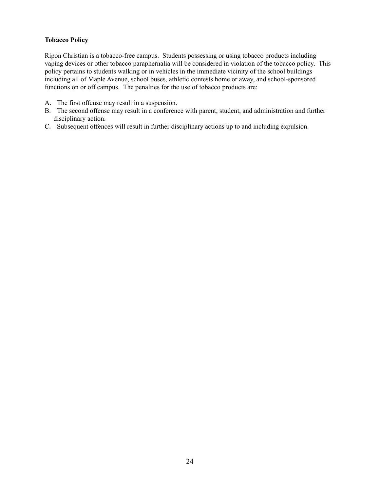#### **Tobacco Policy**

Ripon Christian is a tobacco-free campus. Students possessing or using tobacco products including vaping devices or other tobacco paraphernalia will be considered in violation of the tobacco policy. This policy pertains to students walking or in vehicles in the immediate vicinity of the school buildings including all of Maple Avenue, school buses, athletic contests home or away, and school-sponsored functions on or off campus. The penalties for the use of tobacco products are:

- A. The first offense may result in a suspension.
- B. The second offense may result in a conference with parent, student, and administration and further disciplinary action.
- C. Subsequent offences will result in further disciplinary actions up to and including expulsion.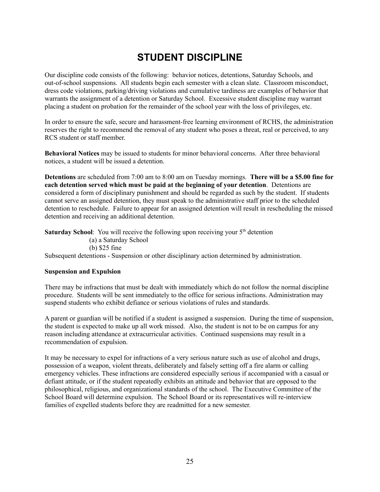## **STUDENT DISCIPLINE**

Our discipline code consists of the following: behavior notices, detentions, Saturday Schools, and out-of-school suspensions. All students begin each semester with a clean slate. Classroom misconduct, dress code violations, parking/driving violations and cumulative tardiness are examples of behavior that warrants the assignment of a detention or Saturday School. Excessive student discipline may warrant placing a student on probation for the remainder of the school year with the loss of privileges, etc.

In order to ensure the safe, secure and harassment-free learning environment of RCHS, the administration reserves the right to recommend the removal of any student who poses a threat, real or perceived, to any RCS student or staff member.

**Behavioral Notices** may be issued to students for minor behavioral concerns. After three behavioral notices, a student will be issued a detention.

**Detentions** are scheduled from 7:00 am to 8:00 am on Tuesday mornings. **There will be a \$5.00 fine for each detention served which must be paid at the beginning of your detention**. Detentions are considered a form of disciplinary punishment and should be regarded as such by the student. If students cannot serve an assigned detention, they must speak to the administrative staff prior to the scheduled detention to reschedule. Failure to appear for an assigned detention will result in rescheduling the missed detention and receiving an additional detention.

**Saturday School**: You will receive the following upon receiving your 5<sup>th</sup> detention (a) a Saturday School (b) \$25 fine Subsequent detentions - Suspension or other disciplinary action determined by administration.

#### **Suspension and Expulsion**

There may be infractions that must be dealt with immediately which do not follow the normal discipline procedure. Students will be sent immediately to the office for serious infractions. Administration may suspend students who exhibit defiance or serious violations of rules and standards.

A parent or guardian will be notified if a student is assigned a suspension. During the time of suspension, the student is expected to make up all work missed. Also, the student is not to be on campus for any reason including attendance at extracurricular activities. Continued suspensions may result in a recommendation of expulsion.

It may be necessary to expel for infractions of a very serious nature such as use of alcohol and drugs, possession of a weapon, violent threats, deliberately and falsely setting off a fire alarm or calling emergency vehicles. These infractions are considered especially serious if accompanied with a casual or defiant attitude, or if the student repeatedly exhibits an attitude and behavior that are opposed to the philosophical, religious, and organizational standards of the school. The Executive Committee of the School Board will determine expulsion. The School Board or its representatives will re-interview families of expelled students before they are readmitted for a new semester.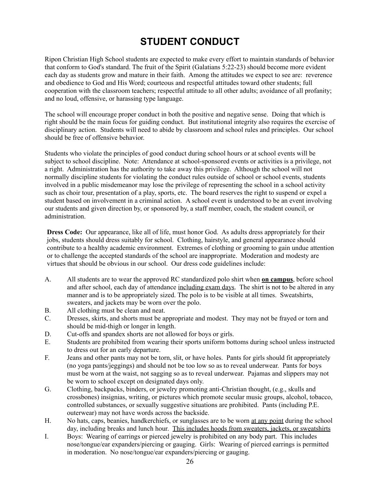## **STUDENT CONDUCT**

Ripon Christian High School students are expected to make every effort to maintain standards of behavior that conform to God's standard. The fruit of the Spirit (Galatians 5:22-23) should become more evident each day as students grow and mature in their faith. Among the attitudes we expect to see are: reverence and obedience to God and His Word; courteous and respectful attitudes toward other students; full cooperation with the classroom teachers; respectful attitude to all other adults; avoidance of all profanity; and no loud, offensive, or harassing type language.

The school will encourage proper conduct in both the positive and negative sense. Doing that which is right should be the main focus for guiding conduct. But institutional integrity also requires the exercise of disciplinary action. Students will need to abide by classroom and school rules and principles. Our school should be free of offensive behavior.

Students who violate the principles of good conduct during school hours or at school events will be subject to school discipline. Note: Attendance at school-sponsored events or activities is a privilege, not a right. Administration has the authority to take away this privilege. Although the school will not normally discipline students for violating the conduct rules outside of school or school events, students involved in a public misdemeanor may lose the privilege of representing the school in a school activity such as choir tour, presentation of a play, sports, etc. The board reserves the right to suspend or expel a student based on involvement in a criminal action. A school event is understood to be an event involving our students and given direction by, or sponsored by, a staff member, coach, the student council, or administration.

**Dress Code:** Our appearance, like all of life, must honor God. As adults dress appropriately for their jobs, students should dress suitably for school. Clothing, hairstyle, and general appearance should contribute to a healthy academic environment. Extremes of clothing or grooming to gain undue attention or to challenge the accepted standards of the school are inappropriate. Moderation and modesty are virtues that should be obvious in our school. Our dress code guidelines include:

- A. All students are to wear the approved RC standardized polo shirt when **on campus**, before school and after school, each day of attendance including exam days. The shirt is not to be altered in any manner and is to be appropriately sized. The polo is to be visible at all times. Sweatshirts, sweaters, and jackets may be worn over the polo.
- B. All clothing must be clean and neat.
- C. Dresses, skirts, and shorts must be appropriate and modest. They may not be frayed or torn and should be mid-thigh or longer in length.
- D. Cut-offs and spandex shorts are not allowed for boys or girls.
- E. Students are prohibited from wearing their sports uniform bottoms during school unless instructed to dress out for an early departure.
- F. Jeans and other pants may not be torn, slit, or have holes. Pants for girls should fit appropriately (no yoga pants/jeggings) and should not be too low so as to reveal underwear. Pants for boys must be worn at the waist, not sagging so as to reveal underwear. Pajamas and slippers may not be worn to school except on designated days only.
- G. Clothing, backpacks, binders, or jewelry promoting anti-Christian thought, (e.g., skulls and crossbones) insignias, writing, or pictures which promote secular music groups, alcohol, tobacco, controlled substances, or sexually suggestive situations are prohibited. Pants (including P.E. outerwear) may not have words across the backside.
- H. No hats, caps, beanies, handkerchiefs, or sunglasses are to be worn at any point during the school day, including breaks and lunch hour. This includes hoods from sweaters, jackets, or sweatshirts
- I. Boys: Wearing of earrings or pierced jewelry is prohibited on any body part. This includes nose/tongue/ear expanders/piercing or gauging. Girls: Wearing of pierced earrings is permitted in moderation. No nose/tongue/ear expanders/piercing or gauging.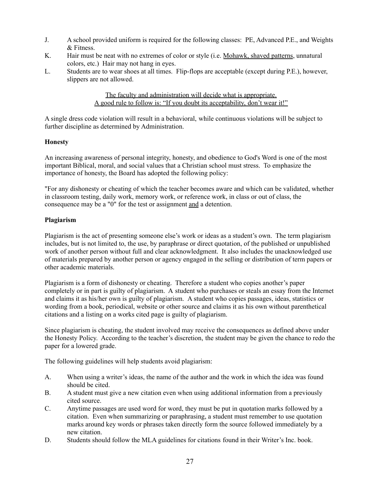- J. A school provided uniform is required for the following classes: PE, Advanced P.E., and Weights & Fitness.
- K. Hair must be neat with no extremes of color or style (i.e. Mohawk, shaved patterns, unnatural colors, etc.) Hair may not hang in eyes.
- L. Students are to wear shoes at all times. Flip-flops are acceptable (except during P.E.), however, slippers are not allowed.

The faculty and administration will decide what is appropriate. A good rule to follow is: "If you doubt its acceptability, don't wear it!"

A single dress code violation will result in a behavioral, while continuous violations will be subject to further discipline as determined by Administration.

#### **Honesty**

An increasing awareness of personal integrity, honesty, and obedience to God's Word is one of the most important Biblical, moral, and social values that a Christian school must stress. To emphasize the importance of honesty, the Board has adopted the following policy:

"For any dishonesty or cheating of which the teacher becomes aware and which can be validated, whether in classroom testing, daily work, memory work, or reference work, in class or out of class, the consequence may be a "0" for the test or assignment and a detention.

#### **Plagiarism**

Plagiarism is the act of presenting someone else's work or ideas as a student's own. The term plagiarism includes, but is not limited to, the use, by paraphrase or direct quotation, of the published or unpublished work of another person without full and clear acknowledgment. It also includes the unacknowledged use of materials prepared by another person or agency engaged in the selling or distribution of term papers or other academic materials.

Plagiarism is a form of dishonesty or cheating. Therefore a student who copies another's paper completely or in part is guilty of plagiarism. A student who purchases or steals an essay from the Internet and claims it as his/her own is guilty of plagiarism. A student who copies passages, ideas, statistics or wording from a book, periodical, website or other source and claims it as his own without parenthetical citations and a listing on a works cited page is guilty of plagiarism.

Since plagiarism is cheating, the student involved may receive the consequences as defined above under the Honesty Policy. According to the teacher's discretion, the student may be given the chance to redo the paper for a lowered grade.

The following guidelines will help students avoid plagiarism:

- A. When using a writer's ideas, the name of the author and the work in which the idea was found should be cited.
- B. A student must give a new citation even when using additional information from a previously cited source.
- C. Anytime passages are used word for word, they must be put in quotation marks followed by a citation. Even when summarizing or paraphrasing, a student must remember to use quotation marks around key words or phrases taken directly form the source followed immediately by a new citation.
- D. Students should follow the MLA guidelines for citations found in their Writer's Inc. book.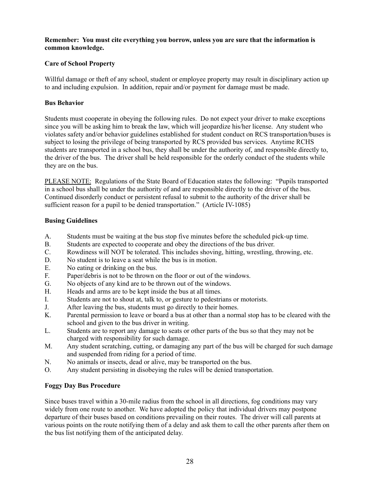**Remember: You must cite everything you borrow, unless you are sure that the information is common knowledge.**

#### **Care of School Property**

Willful damage or theft of any school, student or employee property may result in disciplinary action up to and including expulsion. In addition, repair and/or payment for damage must be made.

#### **Bus Behavior**

Students must cooperate in obeying the following rules. Do not expect your driver to make exceptions since you will be asking him to break the law, which will jeopardize his/her license. Any student who violates safety and/or behavior guidelines established for student conduct on RCS transportation/buses is subject to losing the privilege of being transported by RCS provided bus services. Anytime RCHS students are transported in a school bus, they shall be under the authority of, and responsible directly to, the driver of the bus. The driver shall be held responsible for the orderly conduct of the students while they are on the bus.

PLEASE NOTE: Regulations of the State Board of Education states the following: "Pupils transported in a school bus shall be under the authority of and are responsible directly to the driver of the bus. Continued disorderly conduct or persistent refusal to submit to the authority of the driver shall be sufficient reason for a pupil to be denied transportation." (Article IV-1085)

#### **Busing Guidelines**

- A. Students must be waiting at the bus stop five minutes before the scheduled pick-up time.
- B. Students are expected to cooperate and obey the directions of the bus driver.
- C. Rowdiness will NOT be tolerated. This includes shoving, hitting, wrestling, throwing, etc.
- D. No student is to leave a seat while the bus is in motion.
- E. No eating or drinking on the bus.
- F. Paper/debris is not to be thrown on the floor or out of the windows.
- G. No objects of any kind are to be thrown out of the windows.
- H. Heads and arms are to be kept inside the bus at all times.
- I. Students are not to shout at, talk to, or gesture to pedestrians or motorists.
- J. After leaving the bus, students must go directly to their homes.
- K. Parental permission to leave or board a bus at other than a normal stop has to be cleared with the school and given to the bus driver in writing.
- L. Students are to report any damage to seats or other parts of the bus so that they may not be charged with responsibility for such damage.
- M. Any student scratching, cutting, or damaging any part of the bus will be charged for such damage and suspended from riding for a period of time.
- N. No animals or insects, dead or alive, may be transported on the bus.
- O. Any student persisting in disobeying the rules will be denied transportation.

#### **Foggy Day Bus Procedure**

Since buses travel within a 30-mile radius from the school in all directions, fog conditions may vary widely from one route to another. We have adopted the policy that individual drivers may postpone departure of their buses based on conditions prevailing on their routes. The driver will call parents at various points on the route notifying them of a delay and ask them to call the other parents after them on the bus list notifying them of the anticipated delay.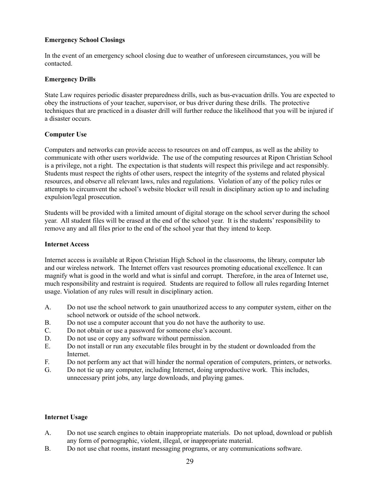#### **Emergency School Closings**

In the event of an emergency school closing due to weather of unforeseen circumstances, you will be contacted.

#### **Emergency Drills**

State Law requires periodic disaster preparedness drills, such as bus-evacuation drills. You are expected to obey the instructions of your teacher, supervisor, or bus driver during these drills. The protective techniques that are practiced in a disaster drill will further reduce the likelihood that you will be injured if a disaster occurs.

#### **Computer Use**

Computers and networks can provide access to resources on and off campus, as well as the ability to communicate with other users worldwide. The use of the computing resources at Ripon Christian School is a privilege, not a right. The expectation is that students will respect this privilege and act responsibly. Students must respect the rights of other users, respect the integrity of the systems and related physical resources, and observe all relevant laws, rules and regulations. Violation of any of the policy rules or attempts to circumvent the school's website blocker will result in disciplinary action up to and including expulsion/legal prosecution.

Students will be provided with a limited amount of digital storage on the school server during the school year. All student files will be erased at the end of the school year. It is the students' responsibility to remove any and all files prior to the end of the school year that they intend to keep.

#### **Internet Access**

Internet access is available at Ripon Christian High School in the classrooms, the library, computer lab and our wireless network. The Internet offers vast resources promoting educational excellence. It can magnify what is good in the world and what is sinful and corrupt. Therefore, in the area of Internet use, much responsibility and restraint is required. Students are required to follow all rules regarding Internet usage. Violation of any rules will result in disciplinary action.

- A. Do not use the school network to gain unauthorized access to any computer system, either on the school network or outside of the school network.
- B. Do not use a computer account that you do not have the authority to use.
- C. Do not obtain or use a password for someone else's account.
- D. Do not use or copy any software without permission.
- E. Do not install or run any executable files brought in by the student or downloaded from the Internet.
- F. Do not perform any act that will hinder the normal operation of computers, printers, or networks.
- G. Do not tie up any computer, including Internet, doing unproductive work. This includes, unnecessary print jobs, any large downloads, and playing games.

#### **Internet Usage**

- A. Do not use search engines to obtain inappropriate materials. Do not upload, download or publish any form of pornographic, violent, illegal, or inappropriate material.
- B. Do not use chat rooms, instant messaging programs, or any communications software.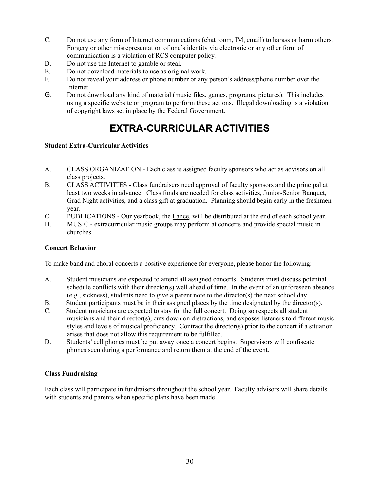- C. Do not use any form of Internet communications (chat room, IM, email) to harass or harm others. Forgery or other misrepresentation of one's identity via electronic or any other form of communication is a violation of RCS computer policy.
- D. Do not use the Internet to gamble or steal.
- E. Do not download materials to use as original work.
- F. Do not reveal your address or phone number or any person's address/phone number over the Internet.
- G. Do not download any kind of material (music files, games, programs, pictures). This includes using a specific website or program to perform these actions. Illegal downloading is a violation of copyright laws set in place by the Federal Government.

## **EXTRA-CURRICULAR ACTIVITIES**

#### **Student Extra-Curricular Activities**

- A. CLASS ORGANIZATION Each class is assigned faculty sponsors who act as advisors on all class projects.
- B. CLASS ACTIVITIES Class fundraisers need approval of faculty sponsors and the principal at least two weeks in advance. Class funds are needed for class activities, Junior-Senior Banquet, Grad Night activities, and a class gift at graduation. Planning should begin early in the freshmen year.
- C. PUBLICATIONS Our yearbook, the Lance, will be distributed at the end of each school year.
- D. MUSIC extracurricular music groups may perform at concerts and provide special music in churches.

#### **Concert Behavior**

To make band and choral concerts a positive experience for everyone, please honor the following:

- A. Student musicians are expected to attend all assigned concerts. Students must discuss potential schedule conflicts with their director(s) well ahead of time. In the event of an unforeseen absence (e.g., sickness), students need to give a parent note to the director(s) the next school day.
- B. Student participants must be in their assigned places by the time designated by the director(s).
- C. Student musicians are expected to stay for the full concert. Doing so respects all student musicians and their director(s), cuts down on distractions, and exposes listeners to different music styles and levels of musical proficiency. Contract the director(s) prior to the concert if a situation arises that does not allow this requirement to be fulfilled.
- D. Students' cell phones must be put away once a concert begins. Supervisors will confiscate phones seen during a performance and return them at the end of the event.

#### **Class Fundraising**

Each class will participate in fundraisers throughout the school year. Faculty advisors will share details with students and parents when specific plans have been made.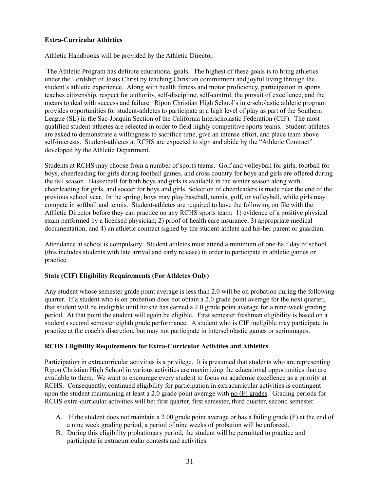#### **Extra-Curricular Athletics**

Athletic Handbooks will be provided by the Athletic Director.

The Athletic Program has definite educational goals. The highest of these goals is to bring athletics under the Lordship of Jesus Christ by teaching Christian commitment and joyful living through the student's athletic experience. Along with health fitness and motor proficiency, participation in sports teaches citizenship, respect for authority, self-discipline, self-control, the pursuit of excellence, and the means to deal with success and failure. Ripon Christian High School's interscholastic athletic program provides opportunities for student-athletes to participate at a high level of play as part of the Southern League (SL) in the Sac-Joaquin Section of the California Interscholastic Federation (CIF). The most qualified student-athletes are selected in order to field highly competitive sports teams. Student-athletes are asked to demonstrate a willingness to sacrifice time, give an intense effort, and place team above self-interests. Student-athletes at RCHS are expected to sign and abide by the "Athletic Contract" developed by the Athletic Department.

Students at RCHS may choose from a number of sports teams. Golf and volleyball for girls, football for boys, cheerleading for girls during football games, and cross country for boys and girls are offered during the fall season. Basketball for both boys and girls is available in the winter season along with cheerleading for girls, and soccer for boys and girls. Selection of cheerleaders is made near the end of the previous school year. In the spring, boys may play baseball, tennis, golf, or volleyball, while girls may compete in softball and tennis. Student-athletes are required to have the following on file with the Athletic Director before they can practice on any RCHS sports team: 1) evidence of a positive physical exam performed by a licensed physician; 2) proof of health care insurance; 3) appropriate medical documentation; and 4) an athletic contract signed by the student-athlete and his/her parent or guardian.

Attendance at school is compulsory. Student athletes must attend a minimum of one-half day of school (this includes students with late arrival and early release) in order to participate in athletic games or practice.

#### **State (CIF) Eligibility Requirements (For Athletes Only)**

Any student whose semester grade point average is less than 2.0 will be on probation during the following quarter. If a student who is on probation does not obtain a 2.0 grade point average for the next quarter, that student will be ineligible until he/she has earned a 2.0 grade point average for a nine-week grading period. At that point the student will again be eligible. First semester freshman eligibility is based on a student's second semester eighth grade performance. A student who is CIF ineligible may participate in practice at the coach's discretion, but may not participate in interscholastic games or scrimmages.

#### **RCHS Eligibility Requirements for Extra-Curricular Activities and Athletics**

Participation in extracurricular activities is a privilege. It is presumed that students who are representing Ripon Christian High School in various activities are maximizing the educational opportunities that are available to them. We want to encourage every student to focus on academic excellence as a priority at RCHS. Consequently, continued eligibility for participation in extracurricular activities is contingent upon the student maintaining at least a 2.0 grade point average with no (F) grades. Grading periods for RCHS extra-curricular activities will be: first quarter, first semester, third quarter, second semester.

- A. If the student does not maintain a 2.00 grade point average or has a failing grade (F) at the end of a nine week grading period, a period of nine weeks of probation will be enforced.
- B. During this eligibility probationary period, the student will be permitted to practice and participate in extracurricular contests and activities.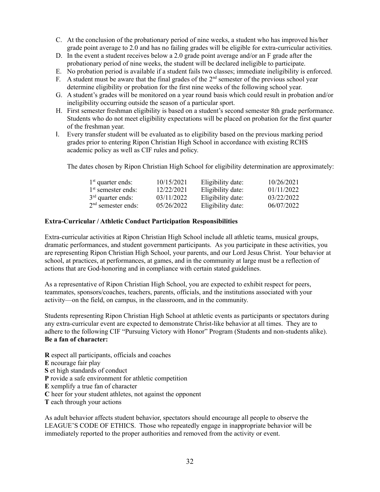- C. At the conclusion of the probationary period of nine weeks, a student who has improved his/her grade point average to 2.0 and has no failing grades will be eligible for extra-curricular activities.
- D. In the event a student receives below a 2.0 grade point average and/or an F grade after the probationary period of nine weeks, the student will be declared ineligible to participate.
- E. No probation period is available if a student fails two classes; immediate ineligibility is enforced.
- F. A student must be aware that the final grades of the  $2<sup>nd</sup>$  semester of the previous school year determine eligibility or probation for the first nine weeks of the following school year.
- G. A student's grades will be monitored on a year round basis which could result in probation and/or ineligibility occurring outside the season of a particular sport.
- H. First semester freshman eligibility is based on a student's second semester 8th grade performance. Students who do not meet eligibility expectations will be placed on probation for the first quarter of the freshman year.
- I. Every transfer student will be evaluated as to eligibility based on the previous marking period grades prior to entering Ripon Christian High School in accordance with existing RCHS academic policy as well as CIF rules and policy.

The dates chosen by Ripon Christian High School for eligibility determination are approximately:

| $1st$ quarter ends:  | 10/15/2021 | Eligibility date: | 10/26/2021 |
|----------------------|------------|-------------------|------------|
| $1st$ semester ends: | 12/22/2021 | Eligibility date: | 01/11/2022 |
| $3rd$ quarter ends:  | 03/11/2022 | Eligibility date: | 03/22/2022 |
| $2nd$ semester ends: | 05/26/2022 | Eligibility date: | 06/07/2022 |

#### **Extra-Curricular / Athletic Conduct Participation Responsibilities**

Extra-curricular activities at Ripon Christian High School include all athletic teams, musical groups, dramatic performances, and student government participants. As you participate in these activities, you are representing Ripon Christian High School, your parents, and our Lord Jesus Christ. Your behavior at school, at practices, at performances, at games, and in the community at large must be a reflection of actions that are God-honoring and in compliance with certain stated guidelines.

As a representative of Ripon Christian High School, you are expected to exhibit respect for peers, teammates, sponsors/coaches, teachers, parents, officials, and the institutions associated with your activity—on the field, on campus, in the classroom, and in the community.

Students representing Ripon Christian High School at athletic events as participants or spectators during any extra-curricular event are expected to demonstrate Christ-like behavior at all times. They are to adhere to the following CIF "Pursuing Victory with Honor" Program (Students and non-students alike). **Be a fan of character:**

**R** espect all participants, officials and coaches **E** ncourage fair play **S** et high standards of conduct **P** rovide a safe environment for athletic competition **E** xemplify a true fan of character **C** heer for your student athletes, not against the opponent **T** each through your actions

As adult behavior affects student behavior, spectators should encourage all people to observe the LEAGUE'S CODE OF ETHICS. Those who repeatedly engage in inappropriate behavior will be immediately reported to the proper authorities and removed from the activity or event.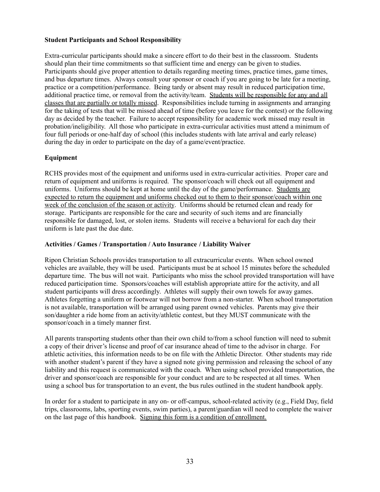#### **Student Participants and School Responsibility**

Extra-curricular participants should make a sincere effort to do their best in the classroom. Students should plan their time commitments so that sufficient time and energy can be given to studies. Participants should give proper attention to details regarding meeting times, practice times, game times, and bus departure times. Always consult your sponsor or coach if you are going to be late for a meeting, practice or a competition/performance. Being tardy or absent may result in reduced participation time, additional practice time, or removal from the activity/team. Students will be responsible for any and all classes that are partially or totally missed. Responsibilities include turning in assignments and arranging for the taking of tests that will be missed ahead of time (before you leave for the contest) or the following day as decided by the teacher. Failure to accept responsibility for academic work missed may result in probation/ineligibility. All those who participate in extra-curricular activities must attend a minimum of four full periods or one-half day of school (this includes students with late arrival and early release) during the day in order to participate on the day of a game/event/practice.

#### **Equipment**

RCHS provides most of the equipment and uniforms used in extra-curricular activities. Proper care and return of equipment and uniforms is required. The sponsor/coach will check out all equipment and uniforms. Uniforms should be kept at home until the day of the game/performance. Students are expected to return the equipment and uniforms checked out to them to their sponsor/coach within one week of the conclusion of the season or activity. Uniforms should be returned clean and ready for storage. Participants are responsible for the care and security of such items and are financially responsible for damaged, lost, or stolen items. Students will receive a behavioral for each day their uniform is late past the due date.

#### **Activities / Games / Transportation / Auto Insurance / Liability Waiver**

Ripon Christian Schools provides transportation to all extracurricular events. When school owned vehicles are available, they will be used. Participants must be at school 15 minutes before the scheduled departure time. The bus will not wait. Participants who miss the school provided transportation will have reduced participation time. Sponsors/coaches will establish appropriate attire for the activity, and all student participants will dress accordingly. Athletes will supply their own towels for away games. Athletes forgetting a uniform or footwear will not borrow from a non-starter. When school transportation is not available, transportation will be arranged using parent owned vehicles. Parents may give their son/daughter a ride home from an activity/athletic contest, but they MUST communicate with the sponsor/coach in a timely manner first.

All parents transporting students other than their own child to/from a school function will need to submit a copy of their driver's license and proof of car insurance ahead of time to the advisor in charge. For athletic activities, this information needs to be on file with the Athletic Director. Other students may ride with another student's parent if they have a signed note giving permission and releasing the school of any liability and this request is communicated with the coach. When using school provided transportation, the driver and sponsor/coach are responsible for your conduct and are to be respected at all times. When using a school bus for transportation to an event, the bus rules outlined in the student handbook apply.

In order for a student to participate in any on- or off-campus, school-related activity (e.g., Field Day, field trips, classrooms, labs, sporting events, swim parties), a parent/guardian will need to complete the waiver on the last page of this handbook. Signing this form is a condition of enrollment.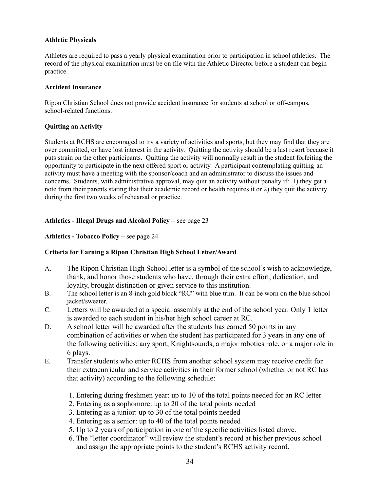#### **Athletic Physicals**

Athletes are required to pass a yearly physical examination prior to participation in school athletics. The record of the physical examination must be on file with the Athletic Director before a student can begin practice.

#### **Accident Insurance**

Ripon Christian School does not provide accident insurance for students at school or off-campus, school-related functions.

#### **Quitting an Activity**

Students at RCHS are encouraged to try a variety of activities and sports, but they may find that they are over committed, or have lost interest in the activity. Quitting the activity should be a last resort because it puts strain on the other participants. Quitting the activity will normally result in the student forfeiting the opportunity to participate in the next offered sport or activity. A participant contemplating quitting an activity must have a meeting with the sponsor/coach and an administrator to discuss the issues and concerns. Students, with administrative approval, may quit an activity without penalty if: 1) they get a note from their parents stating that their academic record or health requires it or 2) they quit the activity during the first two weeks of rehearsal or practice.

#### **Athletics - Illegal Drugs and Alcohol Policy –** see page 23

#### **Athletics - Tobacco Policy –** see page 24

#### **Criteria for Earning a Ripon Christian High School Letter/Award**

- A. The Ripon Christian High School letter is a symbol of the school's wish to acknowledge, thank, and honor those students who have, through their extra effort, dedication, and loyalty, brought distinction or given service to this institution.
- B. The school letter is an 8-inch gold block "RC" with blue trim. It can be worn on the blue school jacket/sweater.
- C. Letters will be awarded at a special assembly at the end of the school year. Only 1 letter is awarded to each student in his/her high school career at RC.
- D. A school letter will be awarded after the students has earned 50 points in any combination of activities or when the student has participated for 3 years in any one of the following activities: any sport, Knightsounds, a major robotics role, or a major role in 6 plays.
- E. Transfer students who enter RCHS from another school system may receive credit for their extracurricular and service activities in their former school (whether or not RC has that activity) according to the following schedule:
	- 1. Entering during freshmen year: up to 10 of the total points needed for an RC letter
	- 2. Entering as a sophomore: up to 20 of the total points needed
	- 3. Entering as a junior: up to 30 of the total points needed
	- 4. Entering as a senior: up to 40 of the total points needed
	- 5. Up to 2 years of participation in one of the specific activities listed above.
	- 6. The "letter coordinator" will review the student's record at his/her previous school and assign the appropriate points to the student's RCHS activity record.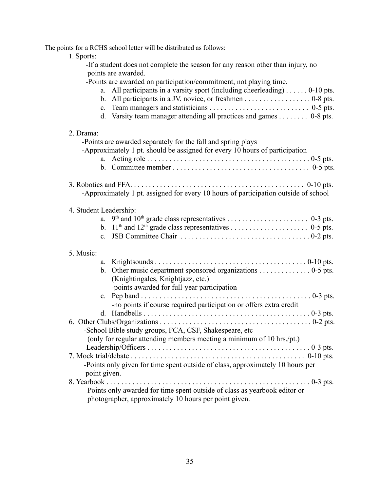The points for a RCHS school letter will be distributed as follows:

1. Sports:

-If a student does not complete the season for any reason other than injury, no points are awarded.

-Points are awarded on participation/commitment, not playing time.

- a. All participants in a varsity sport (including cheerleading) . . . . . . 0-10 pts.
- b. All participants in a JV, novice, or freshmen . . . . . . . . . . . . . . . . . 0-8 pts. c. Team managers and statisticians . . . . . . . . . . . . . . . . . . . . . . . . . . . 0-5 pts.
	- d. Varsity team manager attending all practices and games . . . . . . . . 0-8 pts.

#### 2. Drama:

| 2. Diailla.<br>-Points are awarded separately for the fall and spring plays<br>-Approximately 1 pt. should be assigned for every 10 hours of participation |
|------------------------------------------------------------------------------------------------------------------------------------------------------------|
|                                                                                                                                                            |
| -Approximately 1 pt. assigned for every 10 hours of participation outside of school                                                                        |
| 4. Student Leadership:                                                                                                                                     |
| a.                                                                                                                                                         |
|                                                                                                                                                            |
| $\mathbf{c}$                                                                                                                                               |
| 5. Music:                                                                                                                                                  |
|                                                                                                                                                            |
| b. Other music department sponsored organizations $\dots \dots \dots \dots \dots$ 0-5 pts.                                                                 |
| (Knightingales, Knightjazz, etc.)                                                                                                                          |
| -points awarded for full-year participation                                                                                                                |
| $\mathbf{c}$ .                                                                                                                                             |
| -no points if course required participation or offers extra credit                                                                                         |
|                                                                                                                                                            |
| -School Bible study groups, FCA, CSF, Shakespeare, etc                                                                                                     |
| (only for regular attending members meeting a minimum of 10 hrs./pt.)                                                                                      |
| $-Leadership/Off \n    colon \ldots colon \ldots in in in in in in in in in in in in in in in in in in in in in in in in in in$                            |
|                                                                                                                                                            |
| -Points only given for time spent outside of class, approximately 10 hours per                                                                             |
| point given.                                                                                                                                               |
| 8. Yearbook<br>$\ldots$ 0-3 pts.                                                                                                                           |
| Points only awarded for time spent outside of class as yearbook editor or                                                                                  |
| photographer, approximately 10 hours per point given.                                                                                                      |